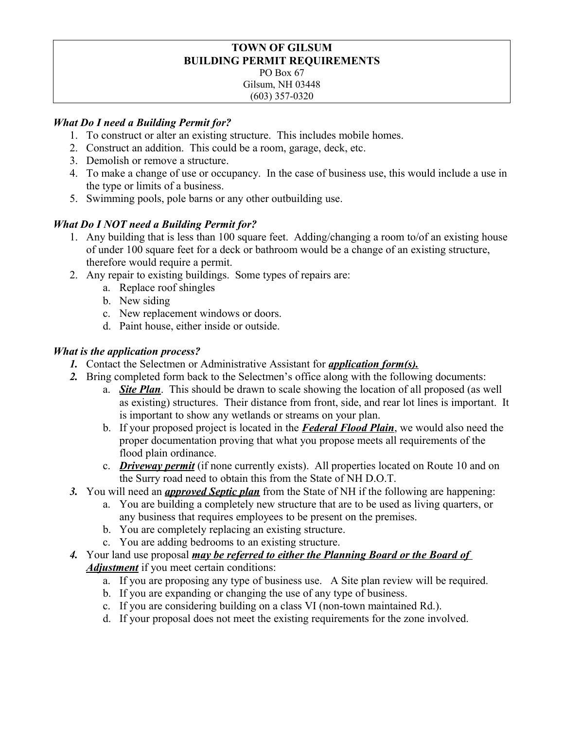#### **TOWN OF GILSUM BUILDING PERMIT REQUIREMENTS** PO Box 67 Gilsum, NH 03448 (603) 357-0320

## *What Do I need a Building Permit for?*

- 1. To construct or alter an existing structure. This includes mobile homes.
- 2. Construct an addition. This could be a room, garage, deck, etc.
- 3. Demolish or remove a structure.
- 4. To make a change of use or occupancy. In the case of business use, this would include a use in the type or limits of a business.
- 5. Swimming pools, pole barns or any other outbuilding use.

# *What Do I NOT need a Building Permit for?*

- 1. Any building that is less than 100 square feet. Adding/changing a room to/of an existing house of under 100 square feet for a deck or bathroom would be a change of an existing structure, therefore would require a permit.
- 2. Any repair to existing buildings. Some types of repairs are:
	- a. Replace roof shingles
	- b. New siding
	- c. New replacement windows or doors.
	- d. Paint house, either inside or outside.

## *What is the application process?*

- *1.* Contact the Selectmen or Administrative Assistant for *application form(s).*
- *2.* Bring completed form back to the Selectmen's office along with the following documents:
	- a. *Site Plan*. This should be drawn to scale showing the location of all proposed (as well as existing) structures. Their distance from front, side, and rear lot lines is important. It is important to show any wetlands or streams on your plan.
	- b. If your proposed project is located in the *Federal Flood Plain*, we would also need the proper documentation proving that what you propose meets all requirements of the flood plain ordinance.
	- c. *Driveway permit* (if none currently exists). All properties located on Route 10 and on the Surry road need to obtain this from the State of NH D.O.T.
- *3.* You will need an *approved Septic plan* from the State of NH if the following are happening:
	- a. You are building a completely new structure that are to be used as living quarters, or any business that requires employees to be present on the premises.
	- b. You are completely replacing an existing structure.
	- c. You are adding bedrooms to an existing structure.
- *4.* Your land use proposal *may be referred to either the Planning Board or the Board of Adjustment* if you meet certain conditions:
	- a. If you are proposing any type of business use. A Site plan review will be required.
	- b. If you are expanding or changing the use of any type of business.
	- c. If you are considering building on a class VI (non-town maintained Rd.).
	- d. If your proposal does not meet the existing requirements for the zone involved.